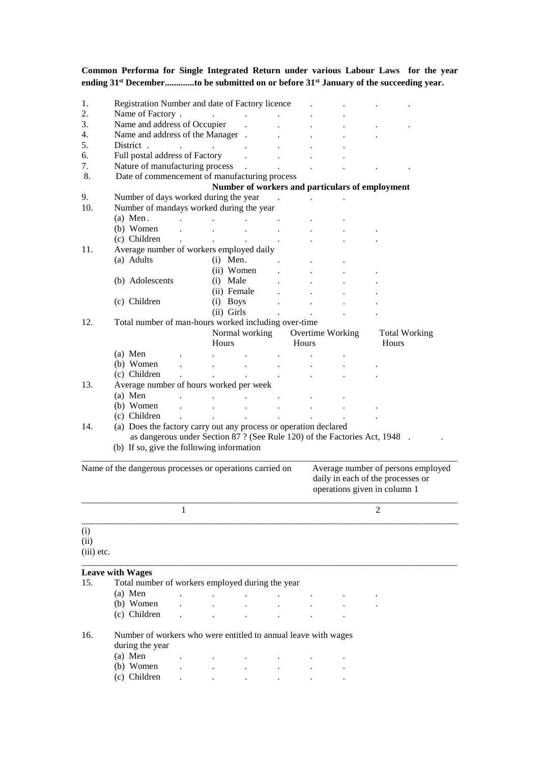**Common Performa for Single Integrated Return under various Labour Laws for the year ending 31st December.............to be submitted on or before 31st January of the succeeding year.**

| 1.         | Registration Number and date of Factory licence                            |                                |                      |                                                                                                                             |                      |                                           |                                                 |  |
|------------|----------------------------------------------------------------------------|--------------------------------|----------------------|-----------------------------------------------------------------------------------------------------------------------------|----------------------|-------------------------------------------|-------------------------------------------------|--|
| 2.         | Name of Factory.                                                           |                                |                      | $\mathcal{L}^{\mathcal{L}}$ and $\mathcal{L}^{\mathcal{L}}$ and $\mathcal{L}^{\mathcal{L}}$ and $\mathcal{L}^{\mathcal{L}}$ |                      |                                           |                                                 |  |
| 3.         | Name and address of Occupier                                               |                                |                      | $\sim$ $\sim$                                                                                                               |                      |                                           |                                                 |  |
| 4.         | Name and address of the Manager.                                           |                                |                      |                                                                                                                             |                      |                                           |                                                 |  |
| 5.         | District.<br>$\sim 10^{-11}$                                               | and the company of the         |                      |                                                                                                                             | $\ddot{\phantom{a}}$ |                                           |                                                 |  |
| 6.         | Full postal address of Factory .                                           |                                |                      |                                                                                                                             | $\sim$               |                                           |                                                 |  |
| 7.         | Nature of manufacturing process .                                          |                                |                      |                                                                                                                             | $\ddot{\phantom{a}}$ | $\bullet$                                 |                                                 |  |
| 8.         | Date of commencement of manufacturing process                              |                                |                      |                                                                                                                             |                      |                                           |                                                 |  |
|            |                                                                            |                                |                      |                                                                                                                             |                      |                                           | Number of workers and particulars of employment |  |
| 9.         | Number of days worked during the year                                      |                                |                      |                                                                                                                             | $\sim$ 100 $\sim$    | $\mathbf{L}^{(1)}$ and $\mathbf{L}^{(2)}$ |                                                 |  |
| 10.        | Number of mandays worked during the year                                   |                                |                      |                                                                                                                             |                      |                                           |                                                 |  |
|            | $(a)$ Men.                                                                 | and the company of the company |                      |                                                                                                                             |                      |                                           |                                                 |  |
|            | (b) Women                                                                  |                                |                      |                                                                                                                             |                      |                                           |                                                 |  |
|            | (c) Children                                                               | <b>Contract Contract</b>       | $\sim$ $-$           | $\sim 100$                                                                                                                  |                      |                                           |                                                 |  |
| 11.        | Average number of workers employed daily                                   |                                |                      |                                                                                                                             |                      |                                           |                                                 |  |
|            | (a) Adults                                                                 |                                |                      | $(i)$ Men.                                                                                                                  | $\ddot{\phantom{a}}$ |                                           |                                                 |  |
|            |                                                                            |                                |                      | (ii) Women                                                                                                                  |                      |                                           |                                                 |  |
|            | (b) Adolescents                                                            |                                | (i) Male             |                                                                                                                             |                      |                                           |                                                 |  |
|            |                                                                            |                                |                      |                                                                                                                             |                      |                                           |                                                 |  |
|            |                                                                            |                                |                      | (ii) Female                                                                                                                 |                      |                                           |                                                 |  |
|            | (c) Children                                                               |                                | (i) Boys             |                                                                                                                             |                      |                                           |                                                 |  |
|            |                                                                            |                                | (ii) Girls           |                                                                                                                             |                      |                                           |                                                 |  |
| 12.        | Total number of man-hours worked including over-time                       |                                |                      |                                                                                                                             |                      |                                           |                                                 |  |
|            |                                                                            |                                |                      | Normal working   Overtime Working                                                                                           |                      |                                           | <b>Total Working</b>                            |  |
|            |                                                                            |                                | Hours                |                                                                                                                             |                      | Hours                                     | Hours                                           |  |
|            | $(a)$ Men                                                                  |                                |                      |                                                                                                                             |                      |                                           |                                                 |  |
|            | (b) Women                                                                  |                                |                      | and the contract of the contract of                                                                                         |                      |                                           |                                                 |  |
|            | (c) Children                                                               |                                |                      | and the state of the state of the state of                                                                                  |                      |                                           |                                                 |  |
| 13.        | Average number of hours worked per week                                    |                                |                      |                                                                                                                             |                      |                                           |                                                 |  |
|            | (a) Men                                                                    |                                |                      |                                                                                                                             |                      |                                           |                                                 |  |
|            | (b) Women                                                                  |                                |                      |                                                                                                                             | $\bullet$            | $\bullet$                                 |                                                 |  |
|            | (c) Children                                                               |                                | $\ddot{\phantom{a}}$ |                                                                                                                             | $\ddot{\phantom{a}}$ |                                           |                                                 |  |
| 14.        | (a) Does the factory carry out any process or operation declared           |                                |                      |                                                                                                                             |                      |                                           |                                                 |  |
|            | as dangerous under Section 87 ? (See Rule 120) of the Factories Act, 1948. |                                |                      |                                                                                                                             |                      |                                           |                                                 |  |
|            | (b) If so, give the following information                                  |                                |                      |                                                                                                                             |                      |                                           |                                                 |  |
|            |                                                                            |                                |                      |                                                                                                                             |                      |                                           |                                                 |  |
|            | Name of the dangerous processes or operations carried on                   |                                |                      |                                                                                                                             |                      |                                           | Average number of persons employed              |  |
|            |                                                                            |                                |                      |                                                                                                                             |                      |                                           | daily in each of the processes or               |  |
|            |                                                                            |                                |                      |                                                                                                                             |                      |                                           | operations given in column 1                    |  |
|            |                                                                            |                                |                      |                                                                                                                             |                      |                                           |                                                 |  |
|            |                                                                            | 1                              |                      |                                                                                                                             |                      |                                           | 2                                               |  |
| (i)        |                                                                            |                                |                      |                                                                                                                             |                      |                                           |                                                 |  |
| (ii)       |                                                                            |                                |                      |                                                                                                                             |                      |                                           |                                                 |  |
| (iii) etc. |                                                                            |                                |                      |                                                                                                                             |                      |                                           |                                                 |  |
|            |                                                                            |                                |                      |                                                                                                                             |                      |                                           |                                                 |  |
|            | <b>Leave with Wages</b>                                                    |                                |                      |                                                                                                                             |                      |                                           |                                                 |  |
| 15.        | Total number of workers employed during the year                           |                                |                      |                                                                                                                             |                      |                                           |                                                 |  |
|            | $(a)$ Men                                                                  |                                |                      |                                                                                                                             |                      |                                           |                                                 |  |
|            | (b) Women                                                                  |                                |                      |                                                                                                                             |                      |                                           |                                                 |  |
|            | (c) Children                                                               |                                |                      |                                                                                                                             |                      |                                           |                                                 |  |
|            |                                                                            |                                |                      |                                                                                                                             |                      |                                           |                                                 |  |
| 16.        | Number of workers who were entitled to annual leave with wages             |                                |                      |                                                                                                                             |                      |                                           |                                                 |  |
|            |                                                                            |                                |                      |                                                                                                                             |                      |                                           |                                                 |  |
|            | during the year                                                            |                                |                      |                                                                                                                             |                      |                                           |                                                 |  |
|            | (a) Men                                                                    |                                |                      |                                                                                                                             |                      |                                           |                                                 |  |
|            | (b) Women                                                                  |                                |                      |                                                                                                                             |                      |                                           |                                                 |  |
|            | (c) Children                                                               |                                |                      |                                                                                                                             |                      |                                           |                                                 |  |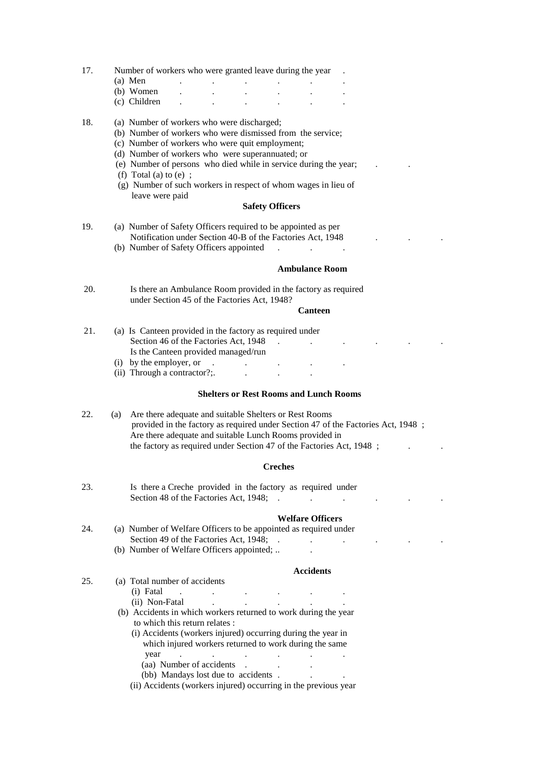| 17 | Number of workers who were granted leave during the year |  |  |  |  |  |  |  |
|----|----------------------------------------------------------|--|--|--|--|--|--|--|
|    | $(a)$ Men                                                |  |  |  |  |  |  |  |
|    | (b) Women                                                |  |  |  |  |  |  |  |
|    | (c) Children                                             |  |  |  |  |  |  |  |

### 18. (a) Number of workers who were discharged;

- (b) Number of workers who were dismissed from the service;
- (c) Number of workers who were quit employment;
- (d) Number of workers who were superannuated; or
- (e) Number of persons who died while in service during the year; (f) Total (a) to  $(e)$  ;
- (g) Number of such workers in respect of whom wages in lieu of leave were paid

## **Safety Officers**

- 19. (a) Number of Safety Officers required to be appointed as per Notification under Section 40-B of the Factories Act, 1948
	- (b) Number of Safety Officers appointed . . .

## **Ambulance Room**

20. Is there an Ambulance Room provided in the factory as required under Section 45 of the Factories Act, 1948?

#### **Canteen**

| 21. |  | (a) Is Canteen provided in the factory as required under |  |  |  |  |
|-----|--|----------------------------------------------------------|--|--|--|--|
|     |  | Section 46 of the Factories Act. 1948                    |  |  |  |  |
|     |  | Is the Canteen provided managed/run                      |  |  |  |  |
|     |  | $(i)$ by the employer, or .                              |  |  |  |  |

(ii) Through a contractor?;.  $\qquad \qquad$ .

## **Shelters or Rest Rooms and Lunch Rooms**

22. (a) Are there adequate and suitable Shelters or Rest Rooms provided in the factory as required under Section 47 of the Factories Act, 1948 ; Are there adequate and suitable Lunch Rooms provided in the factory as required under Section 47 of the Factories Act, 1948;

## **Creches**

23. Is there a Creche provided in the factory as required under Section 48 of the Factories Act, 1948; . . . . . .

#### **Welfare Officers**

- 24. (a) Number of Welfare Officers to be appointed as required under Section 49 of the Factories Act, 1948; . . . . . .
	- (b) Number of Welfare Officers appointed; .. .

## **Accidents**

| 25. | (a) Total number of accidents                                                                                          |
|-----|------------------------------------------------------------------------------------------------------------------------|
|     | (i) Fatal                                                                                                              |
|     | (ii) Non-Fatal                                                                                                         |
|     | (b) Accidents in which workers returned to work during the year<br>to which this return relates :                      |
|     | (i) Accidents (workers injured) occurring during the year in<br>which injured workers returned to work during the same |
|     | year                                                                                                                   |
|     | (aa) Number of accidents                                                                                               |
|     | (bb) Mandays lost due to accidents.                                                                                    |
|     | (ii) Accidents (workers injured) occurring in the previous year                                                        |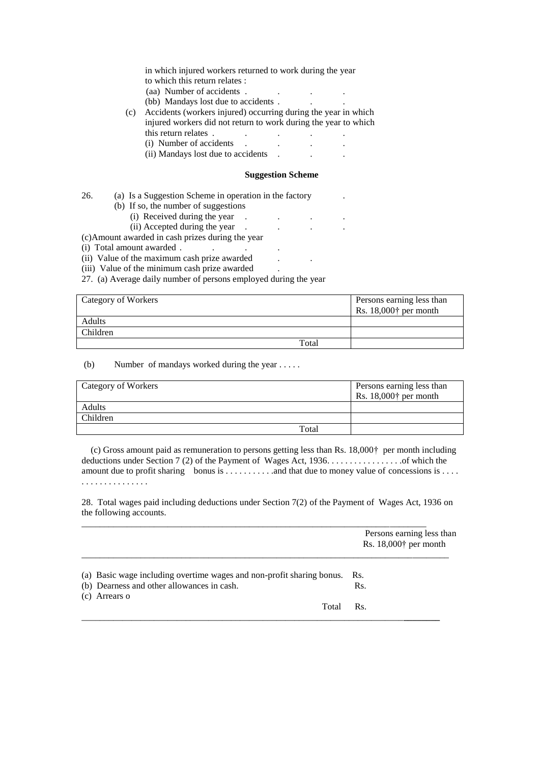in which injured workers returned to work during the year to which this return relates :

- (aa) Number of accidents.
- (bb) Mandays lost due to accidents . . .
- (c) Accidents (workers injured) occurring during the year in which injured workers did not return to work during the year to which this return relates . . . . . (i) Number of accidents . . . . (ii) Mandays lost due to accidents . . .

# **Suggestion Scheme**

| 26.                                          | (a) Is a Suggestion Scheme in operation in the factory |  |  |  |  |  |
|----------------------------------------------|--------------------------------------------------------|--|--|--|--|--|
| (b) If so, the number of suggestions         |                                                        |  |  |  |  |  |
| (i) Received during the year                 |                                                        |  |  |  |  |  |
|                                              | (ii) Accepted during the year                          |  |  |  |  |  |
|                                              | (c) Amount awarded in cash prizes during the year      |  |  |  |  |  |
|                                              | (i) Total amount awarded.                              |  |  |  |  |  |
| (ii) Value of the maximum cash prize awarded |                                                        |  |  |  |  |  |
|                                              | (iii) Value of the minimum cash prize awarded          |  |  |  |  |  |

27. (a) Average daily number of persons employed during the year

| <b>Category of Workers</b> |       | Persons earning less than<br>Rs. $18,000$ <sup>†</sup> per month |
|----------------------------|-------|------------------------------------------------------------------|
| <b>Adults</b>              |       |                                                                  |
| Children                   |       |                                                                  |
|                            | Total |                                                                  |

(b) Number of mandays worked during the year . . . . .

| <b>Category of Workers</b> |       | Persons earning less than<br>Rs. $18,000$ <sup>†</sup> per month |
|----------------------------|-------|------------------------------------------------------------------|
| Adults                     |       |                                                                  |
| Children                   |       |                                                                  |
|                            | Total |                                                                  |

 (c) Gross amount paid as remuneration to persons getting less than Rs. 18,000† per month including deductions under Section 7 (2) of the Payment of Wages Act, 1936. . . . . . . . . . . . . . . . .of which the amount due to profit sharing bonus is . . . . . . . . . . . . . . . . . and that due to money value of concessions is . . . . . . . . . . . . . . . . . . .

28. Total wages paid including deductions under Section 7(2) of the Payment of Wages Act, 1936 on the following accounts.

\_\_\_\_\_\_\_\_\_\_\_\_\_\_\_\_\_\_\_\_\_\_\_\_\_\_\_\_\_\_\_\_\_\_\_\_\_\_\_\_\_\_\_\_\_\_\_\_\_\_\_\_\_\_\_\_\_\_\_\_\_\_\_\_\_\_\_\_\_\_\_\_\_\_\_\_

|                                                                                                                         | Persons earning less than<br>Rs. $18,000$ <sup>†</sup> per month |
|-------------------------------------------------------------------------------------------------------------------------|------------------------------------------------------------------|
| (a) Basic wage including overtime wages and non-profit sharing bonus. Rs.<br>(b) Dearness and other allowances in cash. | Rs.                                                              |
| (c) Arrears o<br>Total                                                                                                  | Rs.                                                              |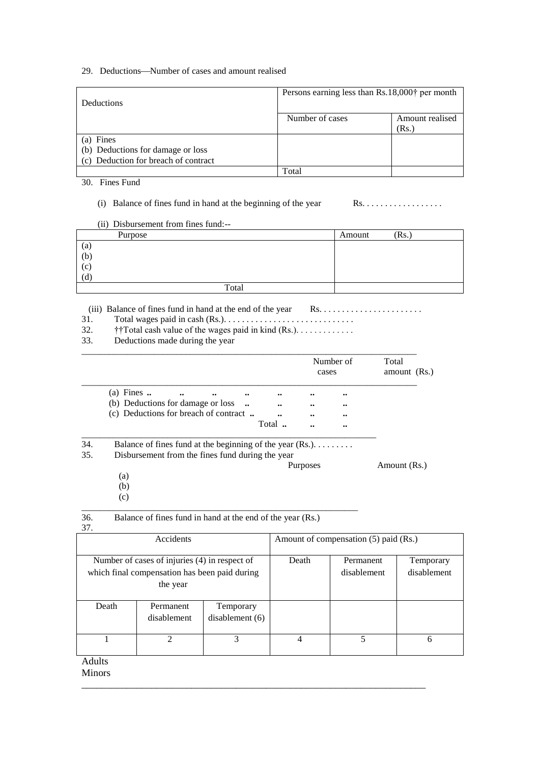29. Deductions-Number of cases and amount realised

| Deductions                           | Persons earning less than Rs.18,000 <sup>†</sup> per month |                 |
|--------------------------------------|------------------------------------------------------------|-----------------|
|                                      | Number of cases                                            | Amount realised |
|                                      |                                                            | (Rs.)           |
| (a) Fines                            |                                                            |                 |
| (b) Deductions for damage or loss    |                                                            |                 |
| (c) Deduction for breach of contract |                                                            |                 |
|                                      | Total                                                      |                 |

30. Fines Fund

(i) Balance of fines fund in hand at the beginning of the year  $\begin{array}{ccc} R_{S_1}, & R_{S_2}, & R_{S_3}, & R_{S_4}, & R_{S_5}, & R_{S_6}, & R_{S_6}, & R_{S_6}, & R_{S_6}, & R_{S_6}, & R_{S_6}, & R_{S_6}, & R_{S_6}, & R_{S_6}, & R_{S_6}, & R_{S_6}, & R_{S_6}, & R_{S_6}, & R_{S_6}, & R_{S_6}, & R_{S_6}, & R_{S$ 

## (ii) Disbursement from fines fund:--

|                   | Purpose | Amount | (Rs) |
|-------------------|---------|--------|------|
| $\left( a\right)$ |         |        |      |
| (b)               |         |        |      |
| (c)               |         |        |      |
| (d)               |         |        |      |
|                   | Total   |        |      |

- (iii) Balance of fines fund in hand at the end of the year Rs. . . . . . . . . . . . . . . . . . . . . . .
- 31. Total wages paid in cash (Rs.). . . . . . . . . . . . . . . . . . . . . . . . . . . . .
- 32. ††Total cash value of the wages paid in kind (Rs.). . . . . . . . . . . . .
- Deductions made during the year

|     |                                                                                              | cases            | Number of        | Total<br>amount $(Rs.)$ |
|-----|----------------------------------------------------------------------------------------------|------------------|------------------|-------------------------|
|     | Fines<br>(a)<br>$\bullet\bullet$<br>$\bullet\bullet$<br>$\bullet\bullet$<br>$\bullet\bullet$ | $\bullet\bullet$ | $\bullet\bullet$ |                         |
|     | (b) Deductions for damage or loss<br>$\ddot{\phantom{0}}$<br>                                | $\bullet\bullet$ | $\bullet\bullet$ |                         |
|     | (c) Deductions for breach of contract.<br>                                                   | $\bullet\bullet$ |                  |                         |
|     | Total                                                                                        |                  |                  |                         |
| 34. | Balance of fines fund at the beginning of the year $(Rs)$                                    |                  |                  |                         |
| 35. | Disbursement from the fines fund during the year                                             |                  |                  |                         |
|     |                                                                                              | Purposes         |                  | Amount (Rs.)            |
|     | (a)                                                                                          |                  |                  |                         |
|     | (b)                                                                                          |                  |                  |                         |

- 
- (c)

\_\_\_\_\_\_\_\_\_\_\_\_\_\_\_\_\_\_\_\_\_\_\_\_\_\_\_\_\_\_\_\_\_\_\_\_\_\_\_\_\_\_\_\_\_\_\_\_\_\_\_\_\_\_\_\_\_\_\_\_\_ 36. Balance of fines fund in hand at the end of the year (Rs.) 37.

|        | Accidents                                                                                                  |                             |       | Amount of compensation (5) paid (Rs.) |                          |
|--------|------------------------------------------------------------------------------------------------------------|-----------------------------|-------|---------------------------------------|--------------------------|
|        | Number of cases of injuries (4) in respect of<br>which final compensation has been paid during<br>the year |                             | Death | Permanent<br>disablement              | Temporary<br>disablement |
| Death  | Permanent<br>disablement                                                                                   | Temporary<br>disablement(6) |       |                                       |                          |
|        | 2                                                                                                          | 3                           |       | 5                                     | 6                        |
| Adults |                                                                                                            |                             |       |                                       |                          |

\_\_\_\_\_\_\_\_\_\_\_\_\_\_\_\_\_\_\_\_\_\_\_\_\_\_\_\_\_\_\_\_\_\_\_\_\_\_\_\_\_\_\_\_\_\_\_\_\_\_\_\_\_\_\_\_\_\_\_\_\_\_\_\_\_\_\_\_\_

Minors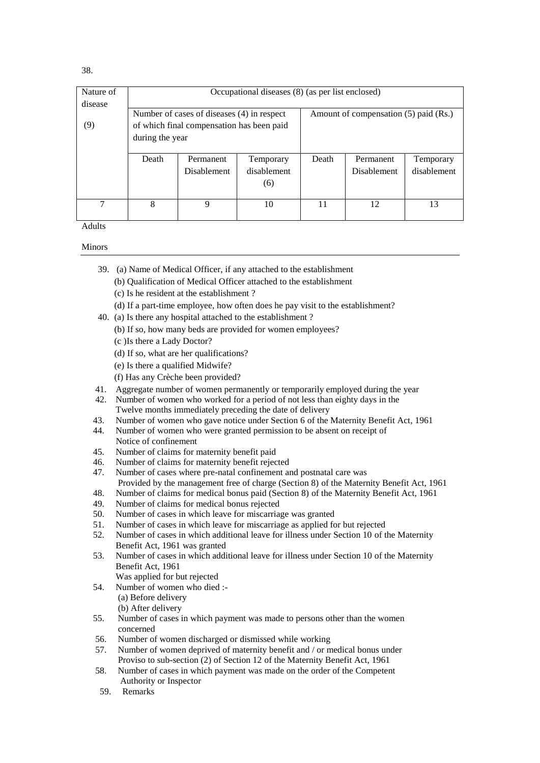| ٠                 |                     |  |
|-------------------|---------------------|--|
| ۰,<br>I<br>v<br>v | ۰.<br>×<br>M.<br>۰. |  |

| Nature of<br>disease | Occupational diseases (8) (as per list enclosed)                                                           |                                 |                                 |                                           |                                 |                          |  |
|----------------------|------------------------------------------------------------------------------------------------------------|---------------------------------|---------------------------------|-------------------------------------------|---------------------------------|--------------------------|--|
| 9)                   | Number of cases of diseases (4) in respect<br>of which final compensation has been paid<br>during the year |                                 |                                 | Amount of compensation $(5)$ paid $(Rs.)$ |                                 |                          |  |
|                      | Death                                                                                                      | Permanent<br><b>Disablement</b> | Temporary<br>disablement<br>(6) | Death                                     | Permanent<br><b>Disablement</b> | Temporary<br>disablement |  |
| 7                    | 8                                                                                                          | 9                               | 10                              | 11                                        | 12                              | 13                       |  |

Adults

## Minors

39. (a) Name of Medical Officer, if any attached to the establishment

- (b) Qualification of Medical Officer attached to the establishment
- (c) Is he resident at the establishment ?
- (d) If a part-time employee, how often does he pay visit to the establishment?
- 40. (a) Is there any hospital attached to the establishment ?
	- (b) If so, how many beds are provided for women employees?
		- (c )Is there a Lady Doctor?
		- (d) If so, what are her qualifications?
		- (e) Is there a qualified Midwife?
	- (f) Has any Crèche been provided?
- 41. Aggregate number of women permanently or temporarily employed during the year
- 42. Number of women who worked for a period of not less than eighty days in the Twelve months immediately preceding the date of delivery
- 43. Number of women who gave notice under Section 6 of the Maternity Benefit Act, 1961
- 44. Number of women who were granted permission to be absent on receipt of
- Notice of confinement<br>45. Number of claims for n Number of claims for maternity benefit paid
- 46. Number of claims for maternity benefit rejected
- 47. Number of cases where pre-natal confinement and postnatal care was Provided by the management free of charge (Section 8) of the Maternity Benefit Act, 1961
- 48. Number of claims for medical bonus paid (Section 8) of the Maternity Benefit Act, 1961
- Number of claims for medical bonus rejected
- 50. Number of cases in which leave for miscarriage was granted
- 51. Number of cases in which leave for miscarriage as applied for but rejected
- 52. Number of cases in which additional leave for illness under Section 10 of the Maternity Benefit Act, 1961 was granted
- 53. Number of cases in which additional leave for illness under Section 10 of the Maternity Benefit Act, 1961
	- Was applied for but rejected
- 54. Number of women who died :- (a) Before delivery
	- (b) After delivery
- 55. Number of cases in which payment was made to persons other than the women concerned
- 56. Number of women discharged or dismissed while working
- 57. Number of women deprived of maternity benefit and / or medical bonus under Proviso to sub-section (2) of Section 12 of the Maternity Benefit Act, 1961
- 58. Number of cases in which payment was made on the order of the Competent Authority or Inspector
- 59. Remarks